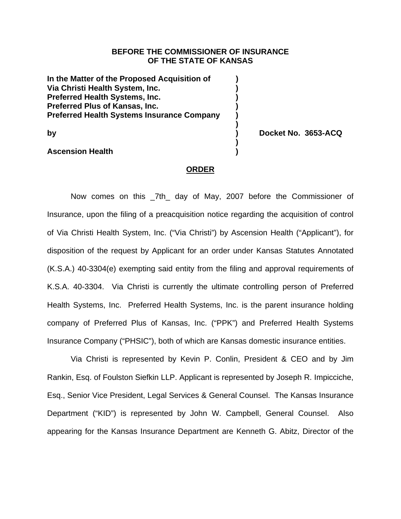## **BEFORE THE COMMISSIONER OF INSURANCE OF THE STATE OF KANSAS**

**In the Matter of the Proposed Acquisition of ) Via Christi Health System, Inc. ) Preferred Health Systems, Inc.** (a) **Preferred Plus of Kansas, Inc. ) Preferred Health Systems Insurance Company )** 

 **)** 

 **)** 

## **Ascension Health )**

**by ) Docket No. 3653-ACQ** 

## **ORDER**

Now comes on this 7th day of May, 2007 before the Commissioner of Insurance, upon the filing of a preacquisition notice regarding the acquisition of control of Via Christi Health System, Inc. ("Via Christi") by Ascension Health ("Applicant"), for disposition of the request by Applicant for an order under Kansas Statutes Annotated (K.S.A.) 40-3304(e) exempting said entity from the filing and approval requirements of K.S.A. 40-3304. Via Christi is currently the ultimate controlling person of Preferred Health Systems, Inc. Preferred Health Systems, Inc. is the parent insurance holding company of Preferred Plus of Kansas, Inc. ("PPK") and Preferred Health Systems Insurance Company ("PHSIC"), both of which are Kansas domestic insurance entities.

Via Christi is represented by Kevin P. Conlin, President & CEO and by Jim Rankin, Esq. of Foulston Siefkin LLP. Applicant is represented by Joseph R. Impicciche, Esq., Senior Vice President, Legal Services & General Counsel. The Kansas Insurance Department ("KID") is represented by John W. Campbell, General Counsel. Also appearing for the Kansas Insurance Department are Kenneth G. Abitz, Director of the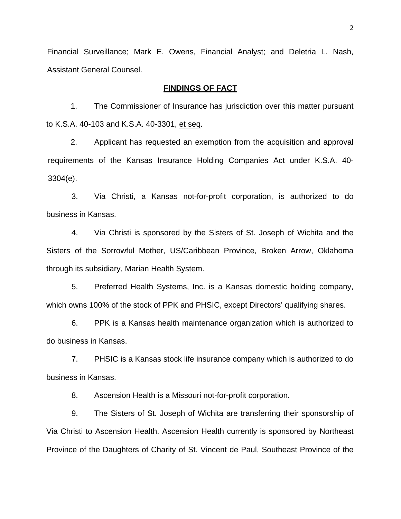Financial Surveillance; Mark E. Owens, Financial Analyst; and Deletria L. Nash, Assistant General Counsel.

### **FINDINGS OF FACT**

1. The Commissioner of Insurance has jurisdiction over this matter pursuant to K.S.A. 40-103 and K.S.A. 40-3301, et seq.

2. Applicant has requested an exemption from the acquisition and approval requirements of the Kansas Insurance Holding Companies Act under K.S.A. 40- 3304(e).

3. Via Christi, a Kansas not-for-profit corporation, is authorized to do business in Kansas.

4. Via Christi is sponsored by the Sisters of St. Joseph of Wichita and the Sisters of the Sorrowful Mother, US/Caribbean Province, Broken Arrow, Oklahoma through its subsidiary, Marian Health System.

5. Preferred Health Systems, Inc. is a Kansas domestic holding company, which owns 100% of the stock of PPK and PHSIC, except Directors' qualifying shares.

6. PPK is a Kansas health maintenance organization which is authorized to do business in Kansas.

7. PHSIC is a Kansas stock life insurance company which is authorized to do business in Kansas.

8. Ascension Health is a Missouri not-for-profit corporation.

9. The Sisters of St. Joseph of Wichita are transferring their sponsorship of Via Christi to Ascension Health. Ascension Health currently is sponsored by Northeast Province of the Daughters of Charity of St. Vincent de Paul, Southeast Province of the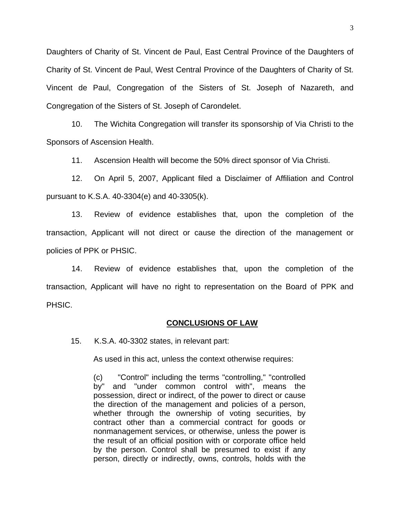Daughters of Charity of St. Vincent de Paul, East Central Province of the Daughters of Charity of St. Vincent de Paul, West Central Province of the Daughters of Charity of St. Vincent de Paul, Congregation of the Sisters of St. Joseph of Nazareth, and Congregation of the Sisters of St. Joseph of Carondelet.

10. The Wichita Congregation will transfer its sponsorship of Via Christi to the Sponsors of Ascension Health.

11. Ascension Health will become the 50% direct sponsor of Via Christi.

12. On April 5, 2007, Applicant filed a Disclaimer of Affiliation and Control pursuant to K.S.A. 40-3304(e) and 40-3305(k).

13. Review of evidence establishes that, upon the completion of the transaction, Applicant will not direct or cause the direction of the management or policies of PPK or PHSIC.

14. Review of evidence establishes that, upon the completion of the transaction, Applicant will have no right to representation on the Board of PPK and PHSIC.

#### **CONCLUSIONS OF LAW**

15. K.S.A. 40-3302 states, in relevant part:

As used in this act, unless the context otherwise requires:

(c) "Control" including the terms "controlling," "controlled by" and "under common control with", means the possession, direct or indirect, of the power to direct or cause the direction of the management and policies of a person, whether through the ownership of voting securities, by contract other than a commercial contract for goods or nonmanagement services, or otherwise, unless the power is the result of an official position with or corporate office held by the person. Control shall be presumed to exist if any person, directly or indirectly, owns, controls, holds with the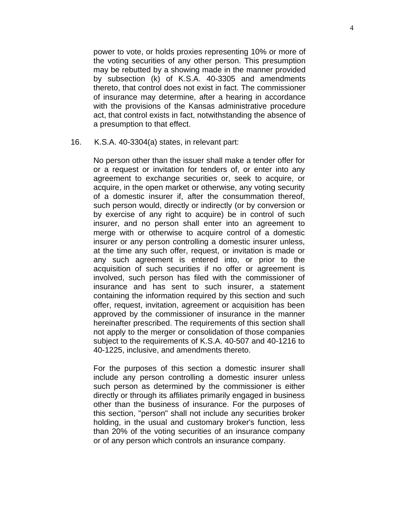power to vote, or holds proxies representing 10% or more of the voting securities of any other person. This presumption may be rebutted by a showing made in the manner provided by subsection (k) of K.S.A. 40-3305 and amendments thereto, that control does not exist in fact. The commissioner of insurance may determine, after a hearing in accordance with the provisions of the Kansas administrative procedure act, that control exists in fact, notwithstanding the absence of a presumption to that effect.

16. K.S.A. 40-3304(a) states, in relevant part:

No person other than the issuer shall make a tender offer for or a request or invitation for tenders of, or enter into any agreement to exchange securities or, seek to acquire, or acquire, in the open market or otherwise, any voting security of a domestic insurer if, after the consummation thereof, such person would, directly or indirectly (or by conversion or by exercise of any right to acquire) be in control of such insurer, and no person shall enter into an agreement to merge with or otherwise to acquire control of a domestic insurer or any person controlling a domestic insurer unless, at the time any such offer, request, or invitation is made or any such agreement is entered into, or prior to the acquisition of such securities if no offer or agreement is involved, such person has filed with the commissioner of insurance and has sent to such insurer, a statement containing the information required by this section and such offer, request, invitation, agreement or acquisition has been approved by the commissioner of insurance in the manner hereinafter prescribed. The requirements of this section shall not apply to the merger or consolidation of those companies subject to the requirements of K.S.A. 40-507 and 40-1216 to 40-1225, inclusive, and amendments thereto.

For the purposes of this section a domestic insurer shall include any person controlling a domestic insurer unless such person as determined by the commissioner is either directly or through its affiliates primarily engaged in business other than the business of insurance. For the purposes of this section, "person" shall not include any securities broker holding, in the usual and customary broker's function, less than 20% of the voting securities of an insurance company or of any person which controls an insurance company.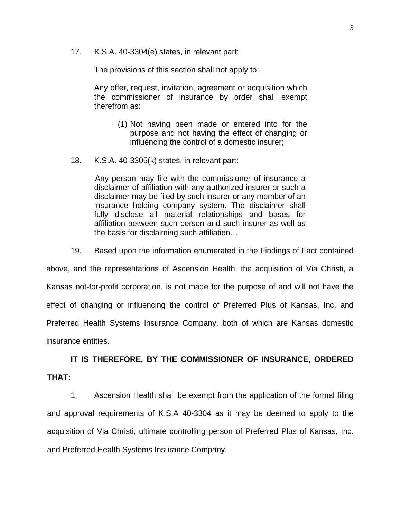17. K.S.A. 40-3304(e) states, in relevant part:

The provisions of this section shall not apply to:

Any offer, request, invitation, agreement or acquisition which the commissioner of insurance by order shall exempt therefrom as:

- (1) Not having been made or entered into for the purpose and not having the effect of changing or influencing the control of a domestic insurer;
- 18. K.S.A. 40-3305(k) states, in relevant part:

Any person may file with the commissioner of insurance a disclaimer of affiliation with any authorized insurer or such a disclaimer may be filed by such insurer or any member of an insurance holding company system. The disclaimer shall fully disclose all material relationships and bases for affiliation between such person and such insurer as well as the basis for disclaiming such affiliation…

19. Based upon the information enumerated in the Findings of Fact contained

above, and the representations of Ascension Health, the acquisition of Via Christi, a Kansas not-for-profit corporation, is not made for the purpose of and will not have the effect of changing or influencing the control of Preferred Plus of Kansas, Inc. and Preferred Health Systems Insurance Company, both of which are Kansas domestic insurance entities.

**IT IS THEREFORE, BY THE COMMISSIONER OF INSURANCE, ORDERED THAT:** 

1. Ascension Health shall be exempt from the application of the formal filing and approval requirements of K.S.A 40-3304 as it may be deemed to apply to the acquisition of Via Christi, ultimate controlling person of Preferred Plus of Kansas, Inc. and Preferred Health Systems Insurance Company.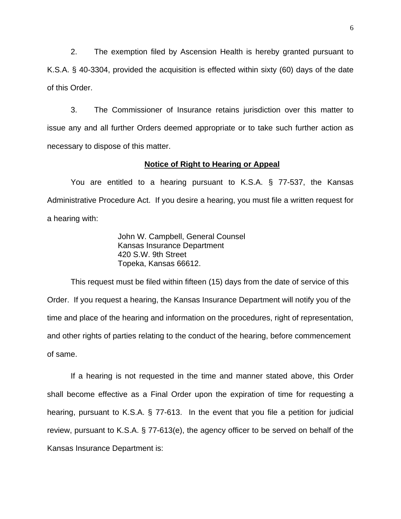2. The exemption filed by Ascension Health is hereby granted pursuant to K.S.A. § 40-3304, provided the acquisition is effected within sixty (60) days of the date of this Order.

3. The Commissioner of Insurance retains jurisdiction over this matter to issue any and all further Orders deemed appropriate or to take such further action as necessary to dispose of this matter.

#### **Notice of Right to Hearing or Appeal**

You are entitled to a hearing pursuant to K.S.A. § 77-537, the Kansas Administrative Procedure Act. If you desire a hearing, you must file a written request for a hearing with:

> John W. Campbell, General Counsel Kansas Insurance Department 420 S.W. 9th Street Topeka, Kansas 66612.

This request must be filed within fifteen (15) days from the date of service of this Order. If you request a hearing, the Kansas Insurance Department will notify you of the time and place of the hearing and information on the procedures, right of representation, and other rights of parties relating to the conduct of the hearing, before commencement of same.

If a hearing is not requested in the time and manner stated above, this Order shall become effective as a Final Order upon the expiration of time for requesting a hearing, pursuant to K.S.A. § 77-613. In the event that you file a petition for judicial review, pursuant to K.S.A. § 77-613(e), the agency officer to be served on behalf of the Kansas Insurance Department is: